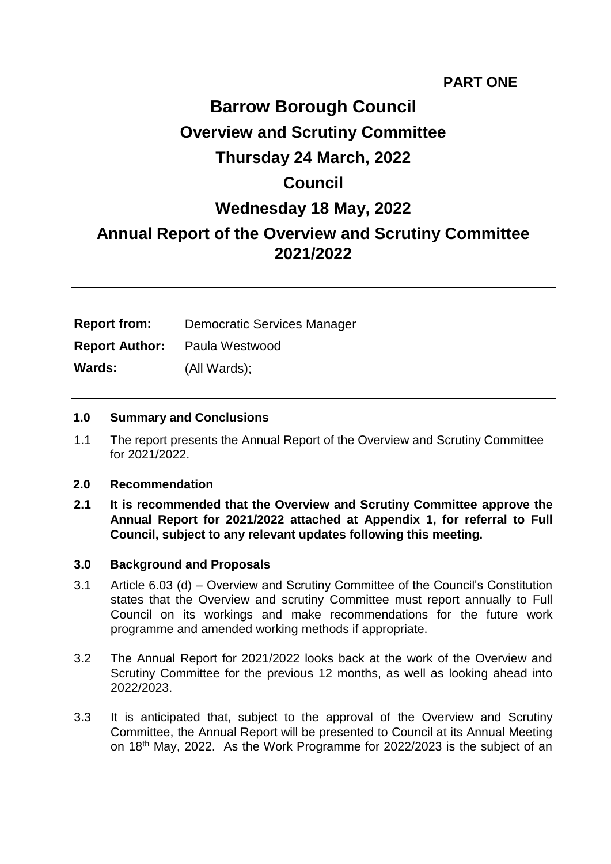# **PART ONE**

# **Barrow Borough Council Overview and Scrutiny Committee Thursday 24 March, 2022 Council Wednesday 18 May, 2022 Annual Report of the Overview and Scrutiny Committee 2021/2022**

| <b>Report from:</b>   | <b>Democratic Services Manager</b> |
|-----------------------|------------------------------------|
| <b>Report Author:</b> | Paula Westwood                     |
| <b>Wards:</b>         | (All Wards);                       |

#### **1.0 Summary and Conclusions**

1.1 The report presents the Annual Report of the Overview and Scrutiny Committee for 2021/2022.

#### **2.0 Recommendation**

**2.1 It is recommended that the Overview and Scrutiny Committee approve the Annual Report for 2021/2022 attached at Appendix 1, for referral to Full Council, subject to any relevant updates following this meeting.**

#### **3.0 Background and Proposals**

- 3.1 Article 6.03 (d) Overview and Scrutiny Committee of the Council's Constitution states that the Overview and scrutiny Committee must report annually to Full Council on its workings and make recommendations for the future work programme and amended working methods if appropriate.
- 3.2 The Annual Report for 2021/2022 looks back at the work of the Overview and Scrutiny Committee for the previous 12 months, as well as looking ahead into 2022/2023.
- 3.3 It is anticipated that, subject to the approval of the Overview and Scrutiny Committee, the Annual Report will be presented to Council at its Annual Meeting on 18th May, 2022. As the Work Programme for 2022/2023 is the subject of an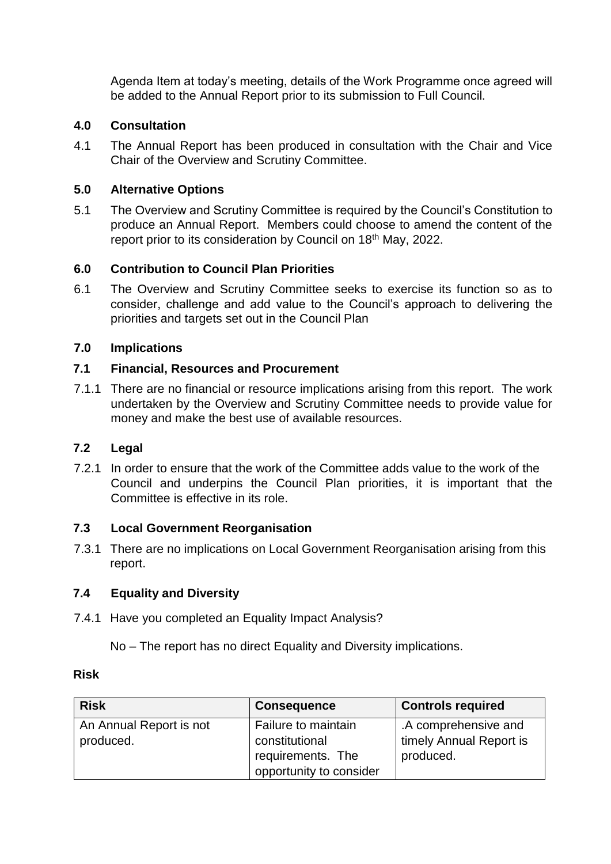Agenda Item at today's meeting, details of the Work Programme once agreed will be added to the Annual Report prior to its submission to Full Council.

#### **4.0 Consultation**

4.1 The Annual Report has been produced in consultation with the Chair and Vice Chair of the Overview and Scrutiny Committee.

#### **5.0 Alternative Options**

5.1 The Overview and Scrutiny Committee is required by the Council's Constitution to produce an Annual Report. Members could choose to amend the content of the report prior to its consideration by Council on 18<sup>th</sup> May, 2022.

#### **6.0 Contribution to Council Plan Priorities**

6.1 The Overview and Scrutiny Committee seeks to exercise its function so as to consider, challenge and add value to the Council's approach to delivering the priorities and targets set out in the Council Plan

#### **7.0 Implications**

#### **7.1 Financial, Resources and Procurement**

7.1.1 There are no financial or resource implications arising from this report. The work undertaken by the Overview and Scrutiny Committee needs to provide value for money and make the best use of available resources.

#### **7.2 Legal**

7.2.1 In order to ensure that the work of the Committee adds value to the work of the Council and underpins the Council Plan priorities, it is important that the Committee is effective in its role.

#### **7.3 Local Government Reorganisation**

7.3.1 There are no implications on Local Government Reorganisation arising from this report.

#### **7.4 Equality and Diversity**

7.4.1 Have you completed an Equality Impact Analysis?

No – The report has no direct Equality and Diversity implications.

#### **Risk**

| <b>Risk</b>             | <b>Consequence</b>      | <b>Controls required</b> |
|-------------------------|-------------------------|--------------------------|
| An Annual Report is not | Failure to maintain     | .A comprehensive and     |
| produced.               | constitutional          | timely Annual Report is  |
|                         | requirements. The       | produced.                |
|                         | opportunity to consider |                          |